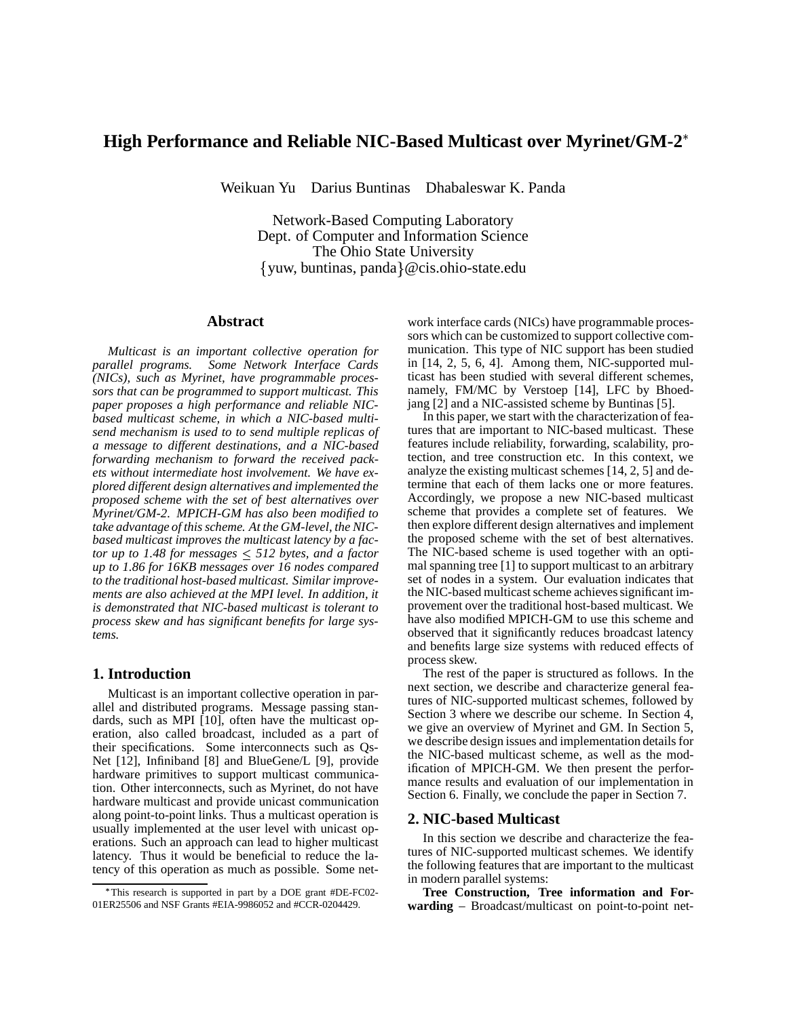# **High Performance and Reliable NIC-Based Multicast over Myrinet/GM-2**

Weikuan Yu Darius Buntinas Dhabaleswar K. Panda

Network-Based Computing Laboratory Dept. of Computer and Information Science The Ohio State University {yuw, buntinas, panda}@cis.ohio-state.edu

#### **Abstract**

*Multicast is an important collective operation for parallel programs. Some Network Interface Cards (NICs), such as Myrinet, have programmable processors that can be programmed to support multicast. This paper proposes a high performance and reliable NICbased multicast scheme, in which a NIC-based multisend mechanism is used to to send multiple replicas of a message to different destinations, and a NIC-based forwarding mechanism to forward the received packets without intermediate host involvement. We have explored different design alternatives and implemented the proposed scheme with the set of best alternatives over Myrinet/GM-2. MPICH-GM has also been modified to take advantage of this scheme. At the GM-level, the NICbased multicast improves the multicast latency by a factor up to 1.48 for messages 512 bytes, and a factor up to 1.86 for 16KB messages over 16 nodes compared to the traditional host-based multicast. Similar improvements are also achieved at the MPI level. In addition, it is demonstrated that NIC-based multicast is tolerant to process skew and has significant benefits for large systems.*

# **1. Introduction**

Multicast is an important collective operation in parallel and distributed programs. Message passing standards, such as MPI [10], often have the multicast operation, also called broadcast, included as a part of their specifications. Some interconnects such as Qs-Net [12], Infiniband [8] and BlueGene/L [9], provide hardware primitives to support multicast communication. Other interconnects, such as Myrinet, do not have hardware multicast and provide unicast communication along point-to-point links. Thus a multicast operation is usually implemented at the user level with unicast operations. Such an approach can lead to higher multicast latency. Thus it would be beneficial to reduce the latency of this operation as much as possible. Some net-

work interface cards (NICs) have programmable processors which can be customized to support collective communication. This type of NIC support has been studied in [14, 2, 5, 6, 4]. Among them, NIC-supported multicast has been studied with several different schemes, namely, FM/MC by Verstoep [14], LFC by Bhoedjang [2] and a NIC-assisted scheme by Buntinas [5].

In this paper, we start with the characterization of features that are important to NIC-based multicast. These features include reliability, forwarding, scalability, protection, and tree construction etc. In this context, we analyze the existing multicast schemes [14, 2, 5] and determine that each of them lacks one or more features. Accordingly, we propose a new NIC-based multicast scheme that provides a complete set of features. We then explore different design alternatives and implement the proposed scheme with the set of best alternatives. The NIC-based scheme is used together with an optimal spanning tree [1] to support multicast to an arbitrary set of nodes in a system. Our evaluation indicates that the NIC-based multicast scheme achieves significant improvement over the traditional host-based multicast. We have also modified MPICH-GM to use this scheme and observed that it significantly reduces broadcast latency and benefits large size systems with reduced effects of process skew.

The rest of the paper is structured as follows. In the next section, we describe and characterize general features of NIC-supported multicast schemes, followed by Section 3 where we describe our scheme. In Section 4, we give an overview of Myrinet and GM. In Section 5, we describe design issues and implementation details for the NIC-based multicast scheme, as well as the modification of MPICH-GM. We then present the performance results and evaluation of our implementation in Section 6. Finally, we conclude the paper in Section 7.

# **2. NIC-based Multicast**

In this section we describe and characterize the features of NIC-supported multicast schemes. We identify the following features that are important to the multicast in modern parallel systems:

**Tree Construction, Tree information and Forwarding** – Broadcast/multicast on point-to-point net-

This research is supported in part by a DOE grant #DE-FC02- 01ER25506 and NSF Grants #EIA-9986052 and #CCR-0204429.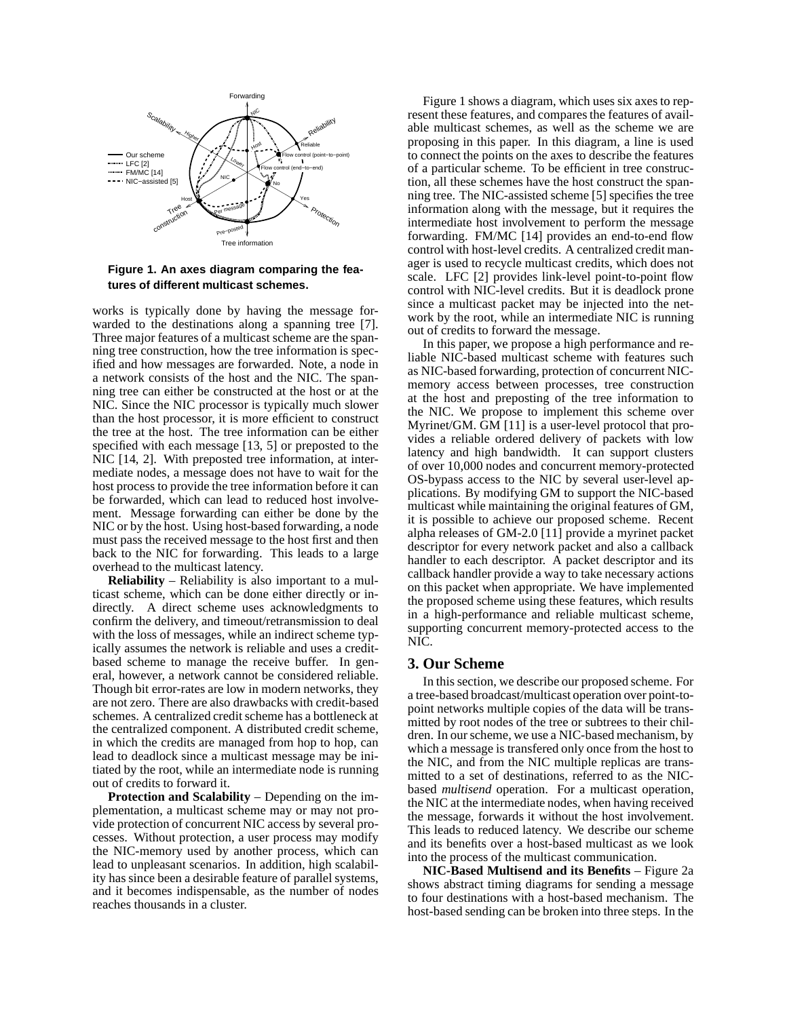

**Figure 1. An axes diagram comparing the features of different multicast schemes.**

works is typically done by having the message forwarded to the destinations along a spanning tree [7]. Three major features of a multicast scheme are the spanning tree construction, how the tree information is specified and how messages are forwarded. Note, a node in a network consists of the host and the NIC. The spanning tree can either be constructed at the host or at the NIC. Since the NIC processor is typically much slower than the host processor, it is more efficient to construct the tree at the host. The tree information can be either specified with each message [13, 5] or preposted to the NIC [14, 2]. With preposted tree information, at intermediate nodes, a message does not have to wait for the host process to provide the tree information before it can be forwarded, which can lead to reduced host involvement. Message forwarding can either be done by the NIC or by the host. Using host-based forwarding, a node must pass the received message to the host first and then back to the NIC for forwarding. This leads to a large overhead to the multicast latency.

**Reliability** – Reliability is also important to a multicast scheme, which can be done either directly or indirectly. A direct scheme uses acknowledgments to confirm the delivery, and timeout/retransmission to deal with the loss of messages, while an indirect scheme typically assumes the network is reliable and uses a creditbased scheme to manage the receive buffer. In general, however, a network cannot be considered reliable. Though bit error-rates are low in modern networks, they are not zero. There are also drawbacks with credit-based schemes. A centralized credit scheme has a bottleneck at the centralized component. A distributed credit scheme, in which the credits are managed from hop to hop, can lead to deadlock since a multicast message may be initiated by the root, while an intermediate node is running out of credits to forward it.

**Protection and Scalability** – Depending on the implementation, a multicast scheme may or may not provide protection of concurrent NIC access by several processes. Without protection, a user process may modify the NIC-memory used by another process, which can lead to unpleasant scenarios. In addition, high scalability has since been a desirable feature of parallel systems, and it becomes indispensable, as the number of nodes reaches thousands in a cluster.

Figure 1 shows a diagram, which uses six axes to represent these features, and compares the features of available multicast schemes, as well as the scheme we are proposing in this paper. In this diagram, a line is used to connect the points on the axes to describe the features of a particular scheme. To be efficient in tree construction, all these schemes have the host construct the spanning tree. The NIC-assisted scheme [5] specifies the tree information along with the message, but it requires the intermediate host involvement to perform the message forwarding. FM/MC [14] provides an end-to-end flow control with host-level credits. A centralized credit manager is used to recycle multicast credits, which does not scale. LFC [2] provides link-level point-to-point flow control with NIC-level credits. But it is deadlock prone since a multicast packet may be injected into the network by the root, while an intermediate NIC is running out of credits to forward the message.

In this paper, we propose a high performance and reliable NIC-based multicast scheme with features such as NIC-based forwarding, protection of concurrent NICmemory access between processes, tree construction at the host and preposting of the tree information to the NIC. We propose to implement this scheme over Myrinet/GM. GM [11] is a user-level protocol that provides a reliable ordered delivery of packets with low latency and high bandwidth. It can support clusters of over 10,000 nodes and concurrent memory-protected OS-bypass access to the NIC by several user-level applications. By modifying GM to support the NIC-based multicast while maintaining the original features of GM, it is possible to achieve our proposed scheme. Recent alpha releases of GM-2.0 [11] provide a myrinet packet descriptor for every network packet and also a callback handler to each descriptor. A packet descriptor and its callback handler provide a way to take necessary actions on this packet when appropriate. We have implemented the proposed scheme using these features, which results in a high-performance and reliable multicast scheme, supporting concurrent memory-protected access to the NIC.

## **3. Our Scheme**

In this section, we describe our proposed scheme. For a tree-based broadcast/multicast operation over point-topoint networks multiple copies of the data will be transmitted by root nodes of the tree or subtrees to their children. In ourscheme, we use a NIC-based mechanism, by which a message is transfered only once from the host to the NIC, and from the NIC multiple replicas are transmitted to a set of destinations, referred to as the NICbased *multisend* operation. For a multicast operation, the NIC at the intermediate nodes, when having received the message, forwards it without the host involvement. This leads to reduced latency. We describe our scheme and its benefits over a host-based multicast as we look into the process of the multicast communication.

**NIC-Based Multisend and its Benefits** – Figure 2a shows abstract timing diagrams for sending a message to four destinations with a host-based mechanism. The host-based sending can be broken into three steps. In the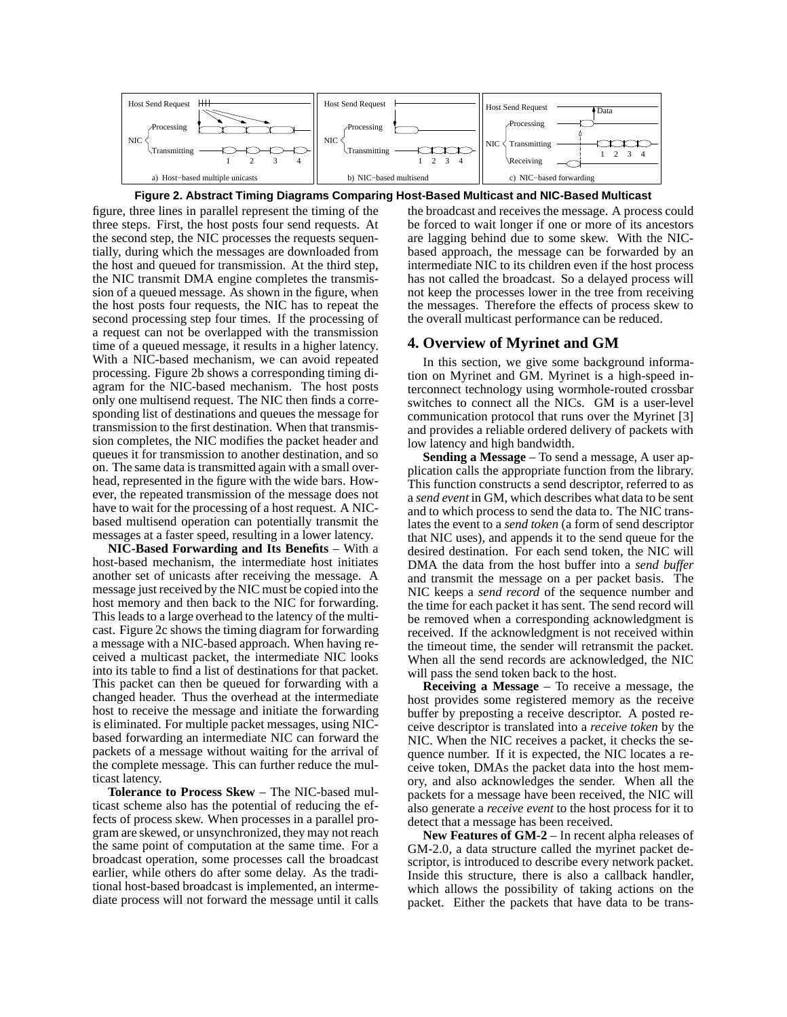

**Figure 2. Abstract Timing Diagrams Comparing Host-Based Multicast and NIC-Based Multicast**

figure, three lines in parallel represent the timing of the three steps. First, the host posts four send requests. At the second step, the NIC processes the requests sequentially, during which the messages are downloaded from the host and queued for transmission. At the third step, the NIC transmit DMA engine completes the transmission of a queued message. As shown in the figure, when the host posts four requests, the NIC has to repeat the second processing step four times. If the processing of a request can not be overlapped with the transmission time of a queued message, it results in a higher latency. With a NIC-based mechanism, we can avoid repeated processing. Figure 2b shows a corresponding timing diagram for the NIC-based mechanism. The host posts only one multisend request. The NIC then finds a corresponding list of destinations and queues the message for transmission to the first destination. When that transmission completes, the NIC modifies the packet header and queues it for transmission to another destination, and so on. The same data is transmitted again with a small overhead, represented in the figure with the wide bars. However, the repeated transmission of the message does not have to wait for the processing of a host request. A NICbased multisend operation can potentially transmit the messages at a faster speed, resulting in a lower latency.

**NIC-Based Forwarding and Its Benefits** – With a host-based mechanism, the intermediate host initiates another set of unicasts after receiving the message. A message just received by the NIC must be copied into the host memory and then back to the NIC for forwarding. This leads to a large overhead to the latency of the multicast. Figure 2c shows the timing diagram for forwarding a message with a NIC-based approach. When having received a multicast packet, the intermediate NIC looks into its table to find a list of destinations for that packet. This packet can then be queued for forwarding with a changed header. Thus the overhead at the intermediate host to receive the message and initiate the forwarding is eliminated. For multiple packet messages, using NICbased forwarding an intermediate NIC can forward the packets of a message without waiting for the arrival of the complete message. This can further reduce the multicast latency.

**Tolerance to Process Skew** – The NIC-based multicast scheme also has the potential of reducing the effects of process skew. When processes in a parallel program are skewed, or unsynchronized, they may not reach the same point of computation at the same time. For a broadcast operation, some processes call the broadcast earlier, while others do after some delay. As the traditional host-based broadcast is implemented, an intermediate process will not forward the message until it calls

the broadcast and receives the message. A process could be forced to wait longer if one or more of its ancestors are lagging behind due to some skew. With the NICbased approach, the message can be forwarded by an intermediate NIC to its children even if the host process has not called the broadcast. So a delayed process will not keep the processes lower in the tree from receiving the messages. Therefore the effects of process skew to the overall multicast performance can be reduced.

### **4. Overview of Myrinet and GM**

In this section, we give some background information on Myrinet and GM. Myrinet is a high-speed interconnect technology using wormhole-routed crossbar switches to connect all the NICs. GM is a user-level communication protocol that runs over the Myrinet [3] and provides a reliable ordered delivery of packets with low latency and high bandwidth.

**Sending a Message** – To send a message, A user application calls the appropriate function from the library. This function constructs a send descriptor, referred to as a *send event* in GM, which describes what data to be sent and to which process to send the data to. The NIC translates the event to a *send token* (a form of send descriptor that NIC uses), and appends it to the send queue for the desired destination. For each send token, the NIC will DMA the data from the host buffer into a *send buffer* and transmit the message on a per packet basis. The NIC keeps a *send record* of the sequence number and the time for each packet it has sent. The send record will be removed when a corresponding acknowledgment is received. If the acknowledgment is not received within the timeout time, the sender will retransmit the packet. When all the send records are acknowledged, the NIC will pass the send token back to the host.

**Receiving a Message** – To receive a message, the host provides some registered memory as the receive buffer by preposting a receive descriptor. A posted receive descriptor is translated into a *receive token* by the NIC. When the NIC receives a packet, it checks the sequence number. If it is expected, the NIC locates a receive token, DMAs the packet data into the host memory, and also acknowledges the sender. When all the packets for a message have been received, the NIC will also generate a *receive event* to the host process for it to detect that a message has been received.

**New Features of GM-2** – In recent alpha releases of GM-2.0, a data structure called the myrinet packet descriptor, is introduced to describe every network packet. Inside this structure, there is also a callback handler, which allows the possibility of taking actions on the packet. Either the packets that have data to be trans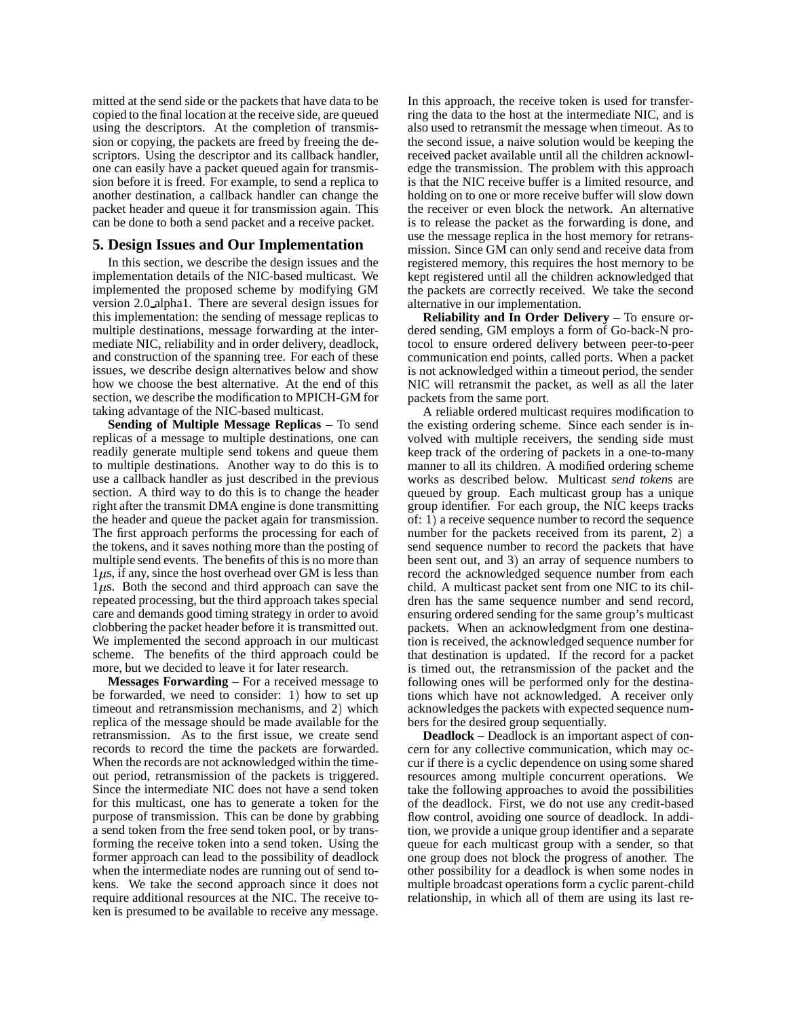mitted at the send side or the packets that have data to be copied to the final location at the receive side, are queued using the descriptors. At the completion of transmission or copying, the packets are freed by freeing the descriptors. Using the descriptor and its callback handler, one can easily have a packet queued again for transmission before it is freed. For example, to send a replica to another destination, a callback handler can change the packet header and queue it for transmission again. This can be done to both a send packet and a receive packet.

# **5. Design Issues and Our Implementation**

In this section, we describe the design issues and the implementation details of the NIC-based multicast. We implemented the proposed scheme by modifying GM version 2.0 alpha1. There are several design issues for this implementation: the sending of message replicas to multiple destinations, message forwarding at the intermediate NIC, reliability and in order delivery, deadlock, and construction of the spanning tree. For each of these issues, we describe design alternatives below and show how we choose the best alternative. At the end of this section, we describe the modification to MPICH-GM for taking advantage of the NIC-based multicast.

**Sending of Multiple Message Replicas** – To send replicas of a message to multiple destinations, one can readily generate multiple send tokens and queue them to multiple destinations. Another way to do this is to use a callback handler as just described in the previous section. A third way to do this is to change the header right after the transmit DMA engine is done transmitting the header and queue the packet again for transmission. The first approach performs the processing for each of the tokens, and it saves nothing more than the posting of multiple send events. The benefits of this is no more than  $1\mu$ s, if any, since the host overhead over GM is less than  $1\mu$ s. Both the second and third approach can save the repeated processing, but the third approach takes special care and demands good timing strategy in order to avoid clobbering the packet header before it is transmitted out. We implemented the second approach in our multicast scheme. The benefits of the third approach could be more, but we decided to leave it for later research.

**Messages Forwarding** – For a received message to be forwarded, we need to consider:  $1)$  how to set up timeout and retransmission mechanisms, and 2) which replica of the message should be made available for the retransmission. As to the first issue, we create send records to record the time the packets are forwarded. When the records are not acknowledged within the timeout period, retransmission of the packets is triggered. Since the intermediate NIC does not have a send token for this multicast, one has to generate a token for the purpose of transmission. This can be done by grabbing a send token from the free send token pool, or by transforming the receive token into a send token. Using the former approach can lead to the possibility of deadlock when the intermediate nodes are running out of send tokens. We take the second approach since it does not require additional resources at the NIC. The receive token is presumed to be available to receive any message.

In this approach, the receive token is used for transferring the data to the host at the intermediate NIC, and is also used to retransmit the message when timeout. As to the second issue, a naive solution would be keeping the received packet available until all the children acknowledge the transmission. The problem with this approach is that the NIC receive buffer is a limited resource, and holding on to one or more receive buffer will slow down the receiver or even block the network. An alternative is to release the packet as the forwarding is done, and use the message replica in the host memory for retransmission. Since GM can only send and receive data from registered memory, this requires the host memory to be kept registered until all the children acknowledged that the packets are correctly received. We take the second alternative in our implementation.

**Reliability and In Order Delivery** – To ensure ordered sending, GM employs a form of Go-back-N protocol to ensure ordered delivery between peer-to-peer communication end points, called ports. When a packet is not acknowledged within a timeout period, the sender NIC will retransmit the packet, as well as all the later packets from the same port.

A reliable ordered multicast requires modification to the existing ordering scheme. Since each sender is involved with multiple receivers, the sending side must keep track of the ordering of packets in a one-to-many manner to all its children. A modified ordering scheme works as described below. Multicast *send token*s are queued by group. Each multicast group has a unique group identifier. For each group, the NIC keeps tracks of: 1) a receive sequence number to record the sequence number for the packets received from its parent, 2) a send sequence number to record the packets that have been sent out, and 3) an array of sequence numbers to record the acknowledged sequence number from each child. A multicast packet sent from one NIC to its children has the same sequence number and send record, ensuring ordered sending for the same group's multicast packets. When an acknowledgment from one destination is received, the acknowledged sequence number for that destination is updated. If the record for a packet is timed out, the retransmission of the packet and the following ones will be performed only for the destinations which have not acknowledged. A receiver only acknowledges the packets with expected sequence numbers for the desired group sequentially.

**Deadlock** – Deadlock is an important aspect of concern for any collective communication, which may occur if there is a cyclic dependence on using some shared resources among multiple concurrent operations. We take the following approaches to avoid the possibilities of the deadlock. First, we do not use any credit-based flow control, avoiding one source of deadlock. In addition, we provide a unique group identifier and a separate queue for each multicast group with a sender, so that one group does not block the progress of another. The other possibility for a deadlock is when some nodes in multiple broadcast operations form a cyclic parent-child relationship, in which all of them are using its last re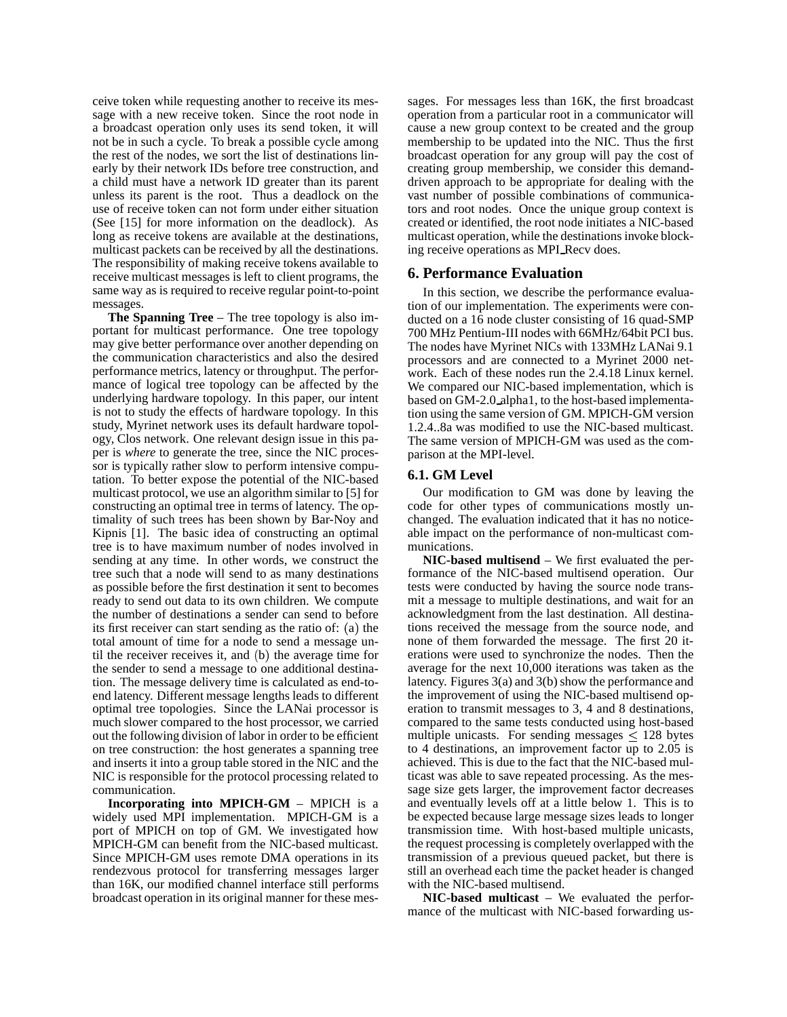ceive token while requesting another to receive its message with a new receive token. Since the root node in a broadcast operation only uses its send token, it will not be in such a cycle. To break a possible cycle among the rest of the nodes, we sort the list of destinations linearly by their network IDs before tree construction, and a child must have a network ID greater than its parent unless its parent is the root. Thus a deadlock on the use of receive token can not form under either situation (See [15] for more information on the deadlock). As long as receive tokens are available at the destinations, multicast packets can be received by all the destinations. The responsibility of making receive tokens available to receive multicast messages is left to client programs, the same way as is required to receive regular point-to-point messages.

**The Spanning Tree** – The tree topology is also important for multicast performance. One tree topology may give better performance over another depending on the communication characteristics and also the desired performance metrics, latency or throughput. The performance of logical tree topology can be affected by the underlying hardware topology. In this paper, our intent is not to study the effects of hardware topology. In this study, Myrinet network uses its default hardware topology, Clos network. One relevant design issue in this paper is *where* to generate the tree, since the NIC processor is typically rather slow to perform intensive computation. To better expose the potential of the NIC-based multicast protocol, we use an algorithm similar to [5] for constructing an optimal tree in terms of latency. The optimality of such trees has been shown by Bar-Noy and Kipnis [1]. The basic idea of constructing an optimal tree is to have maximum number of nodes involved in sending at any time. In other words, we construct the tree such that a node will send to as many destinations as possible before the first destination it sent to becomes ready to send out data to its own children. We compute the number of destinations a sender can send to before its first receiver can start sending as the ratio of:  $(a)$  the total amount of time for a node to send a message until the receiver receives it, and  $(b)$  the average time for the sender to send a message to one additional destination. The message delivery time is calculated as end-toend latency. Different message lengths leads to different optimal tree topologies. Since the LANai processor is much slower compared to the host processor, we carried out the following division of labor in order to be efficient on tree construction: the host generates a spanning tree and inserts it into a group table stored in the NIC and the NIC is responsible for the protocol processing related to communication.

**Incorporating into MPICH-GM** – MPICH is a widely used MPI implementation. MPICH-GM is a port of MPICH on top of GM. We investigated how MPICH-GM can benefit from the NIC-based multicast. Since MPICH-GM uses remote DMA operations in its rendezvous protocol for transferring messages larger than 16K, our modified channel interface still performs broadcast operation in its original manner for these mes-

sages. For messages less than 16K, the first broadcast operation from a particular root in a communicator will cause a new group context to be created and the group membership to be updated into the NIC. Thus the first broadcast operation for any group will pay the cost of creating group membership, we consider this demanddriven approach to be appropriate for dealing with the vast number of possible combinations of communicators and root nodes. Once the unique group context is created or identified, the root node initiates a NIC-based multicast operation, while the destinations invoke blocking receive operations as MPI Recv does.

## **6. Performance Evaluation**

In this section, we describe the performance evaluation of our implementation. The experiments were conducted on a 16 node cluster consisting of 16 quad-SMP 700 MHz Pentium-III nodes with 66MHz/64bit PCI bus. The nodes have Myrinet NICs with 133MHz LANai 9.1 processors and are connected to a Myrinet 2000 network. Each of these nodes run the 2.4.18 Linux kernel. We compared our NIC-based implementation, which is based on GM-2.0 alpha1, to the host-based implementation using the same version of GM. MPICH-GM version 1.2.4..8a was modified to use the NIC-based multicast. The same version of MPICH-GM was used as the comparison at the MPI-level.

#### **6.1. GM Level**

Our modification to GM was done by leaving the code for other types of communications mostly unchanged. The evaluation indicated that it has no noticeable impact on the performance of non-multicast communications.

**NIC-based multisend** – We first evaluated the performance of the NIC-based multisend operation. Our tests were conducted by having the source node transmit a message to multiple destinations, and wait for an acknowledgment from the last destination. All destinations received the message from the source node, and none of them forwarded the message. The first 20 iterations were used to synchronize the nodes. Then the average for the next 10,000 iterations was taken as the latency. Figures  $3(a)$  and  $3(b)$  show the performance and the improvement of using the NIC-based multisend operation to transmit messages to 3, 4 and 8 destinations, compared to the same tests conducted using host-based multiple unicasts. For sending messages  $\leq 128$  bytes to 4 destinations, an improvement factor up to 2.05 is achieved. This is due to the fact that the NIC-based multicast was able to save repeated processing. As the message size gets larger, the improvement factor decreases and eventually levels off at a little below 1. This is to be expected because large message sizes leads to longer transmission time. With host-based multiple unicasts, the request processing is completely overlapped with the transmission of a previous queued packet, but there is still an overhead each time the packet header is changed with the NIC-based multisend.

**NIC-based multicast** – We evaluated the performance of the multicast with NIC-based forwarding us-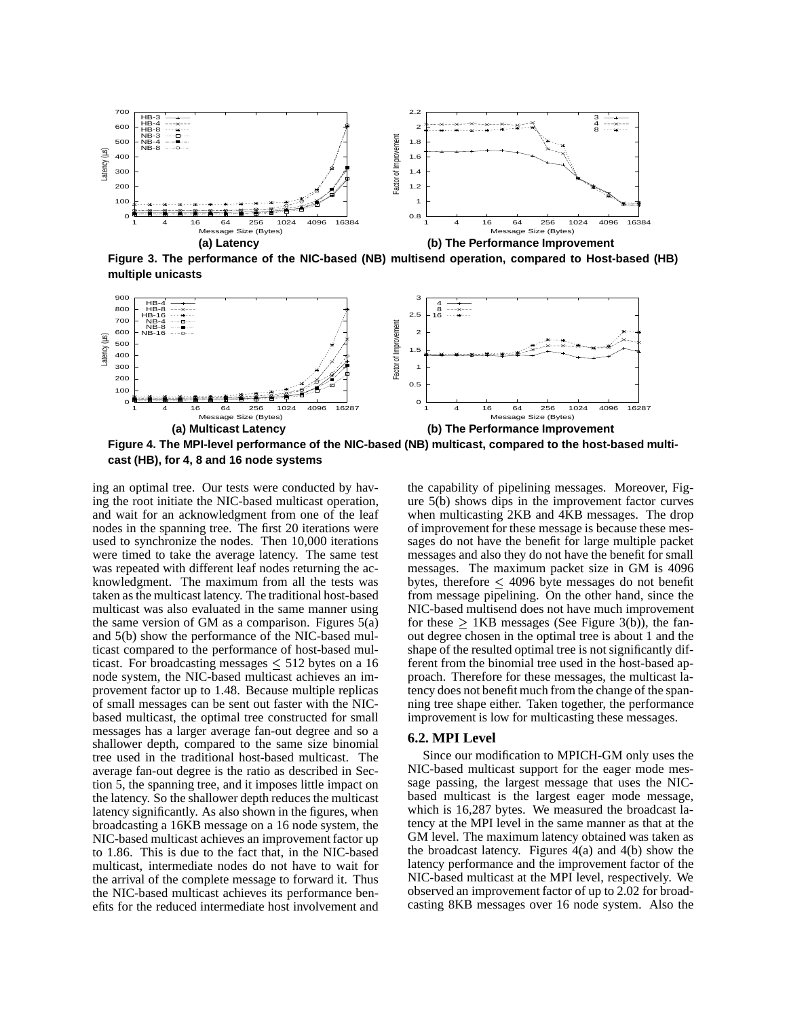

**Figure 3. The performance of the NIC-based (NB) multisend operation, compared to Host-based (HB) multiple unicasts**



ing an optimal tree. Our tests were conducted by having the root initiate the NIC-based multicast operation, and wait for an acknowledgment from one of the leaf nodes in the spanning tree. The first 20 iterations were used to synchronize the nodes. Then 10,000 iterations were timed to take the average latency. The same test was repeated with different leaf nodes returning the acknowledgment. The maximum from all the tests was taken as the multicast latency. The traditional host-based multicast was also evaluated in the same manner using the same version of GM as a comparison. Figures  $5(a)$ and 5(b) show the performance of the NIC-based multicast compared to the performance of host-based multicast. For broadcasting messages  $\leq 512$  bytes on a 16 node system, the NIC-based multicast achieves an improvement factor up to 1.48. Because multiple replicas of small messages can be sent out faster with the NICbased multicast, the optimal tree constructed for small messages has a larger average fan-out degree and so a shallower depth, compared to the same size binomial tree used in the traditional host-based multicast. The average fan-out degree is the ratio as described in Section 5, the spanning tree, and it imposes little impact on the latency. So the shallower depth reduces the multicast latency significantly. As also shown in the figures, when broadcasting a 16KB message on a 16 node system, the NIC-based multicast achieves an improvement factor up to 1.86. This is due to the fact that, in the NIC-based multicast, intermediate nodes do not have to wait for the arrival of the complete message to forward it. Thus the NIC-based multicast achieves its performance benefits for the reduced intermediate host involvement and

the capability of pipelining messages. Moreover, Figure 5(b) shows dips in the improvement factor curves when multicasting 2KB and 4KB messages. The drop of improvement for these message is because these messages do not have the benefit for large multiple packet messages and also they do not have the benefit for small messages. The maximum packet size in GM is 4096 bytes, therefore  $\leq 4096$  byte messages do not benefit from message pipelining. On the other hand, since the NIC-based multisend does not have much improvement for these  $> 1KB$  messages (See Figure 3(b)), the fanout degree chosen in the optimal tree is about 1 and the shape of the resulted optimal tree is not significantly different from the binomial tree used in the host-based approach. Therefore for these messages, the multicast latency does not benefit much from the change of the spanning tree shape either. Taken together, the performance improvement is low for multicasting these messages.

#### **6.2. MPI Level**

Since our modification to MPICH-GM only uses the NIC-based multicast support for the eager mode message passing, the largest message that uses the NICbased multicast is the largest eager mode message, which is 16,287 bytes. We measured the broadcast latency at the MPI level in the same manner as that at the GM level. The maximum latency obtained was taken as the broadcast latency. Figures 4(a) and 4(b) show the latency performance and the improvement factor of the NIC-based multicast at the MPI level, respectively. We observed an improvement factor of up to 2.02 for broadcasting 8KB messages over 16 node system. Also the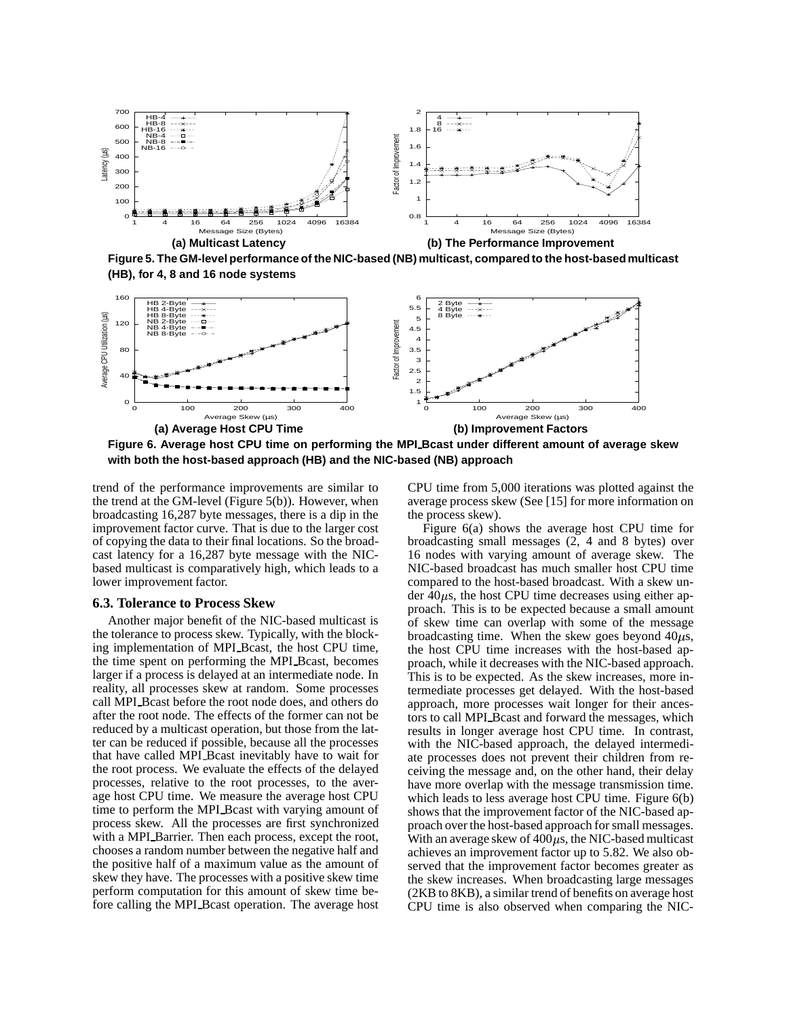

**Figure 5. The GM-level performanceof the NIC-based (NB) multicast, comparedto the host-basedmulticast (HB), for 4, 8 and 16 node systems**



**Figure 6. Average host CPU time on performing the MPI Bcast under different amount of average skew with both the host-based approach (HB) and the NIC-based (NB) approach**

trend of the performance improvements are similar to the trend at the GM-level (Figure 5(b)). However, when broadcasting 16,287 byte messages, there is a dip in the improvement factor curve. That is due to the larger cost of copying the data to their final locations. So the broadcast latency for a 16,287 byte message with the NICbased multicast is comparatively high, which leads to a lower improvement factor.

#### **6.3. Tolerance to Process Skew**

Another major benefit of the NIC-based multicast is the tolerance to process skew. Typically, with the blocking implementation of MPI Bcast, the host CPU time, the time spent on performing the MPI Bcast, becomes larger if a process is delayed at an intermediate node. In reality, all processes skew at random. Some processes call MPI Bcast before the root node does, and others do after the root node. The effects of the former can not be reduced by a multicast operation, but those from the latter can be reduced if possible, because all the processes that have called MPI Bcast inevitably have to wait for the root process. We evaluate the effects of the delayed processes, relative to the root processes, to the average host CPU time. We measure the average host CPU time to perform the MPI Bcast with varying amount of process skew. All the processes are first synchronized with a MPI Barrier. Then each process, except the root, chooses a random number between the negative half and the positive half of a maximum value as the amount of skew they have. The processes with a positive skew time perform computation for this amount of skew time before calling the MPI Bcast operation. The average host CPU time from 5,000 iterations was plotted against the average process skew (See [15] for more information on the process skew).

Figure 6(a) shows the average host CPU time for broadcasting small messages (2, 4 and 8 bytes) over 16 nodes with varying amount of average skew. The NIC-based broadcast has much smaller host CPU time compared to the host-based broadcast. With a skew un- $\gamma$  der 40 $\mu$ s, the host CPU time decreases using either approach. This is to be expected because a small amount of skew time can overlap with some of the message broadcasting time. When the skew goes beyond  $40\mu s$ , the host CPU time increases with the host-based approach, while it decreases with the NIC-based approach. This is to be expected. As the skew increases, more intermediate processes get delayed. With the host-based approach, more processes wait longer for their ancestors to call MPI Bcast and forward the messages, which results in longer average host CPU time. In contrast, with the NIC-based approach, the delayed intermediate processes does not prevent their children from receiving the message and, on the other hand, their delay have more overlap with the message transmission time. which leads to less average host CPU time. Figure 6(b) shows that the improvement factor of the NIC-based approach over the host-based approach forsmall messages. With an average skew of  $400\mu s$ , the NIC-based multicast achieves an improvement factor up to 5.82. We also observed that the improvement factor becomes greater as the skew increases. When broadcasting large messages (2KB to 8KB), a similar trend of benefits on average host CPU time is also observed when comparing the NIC-